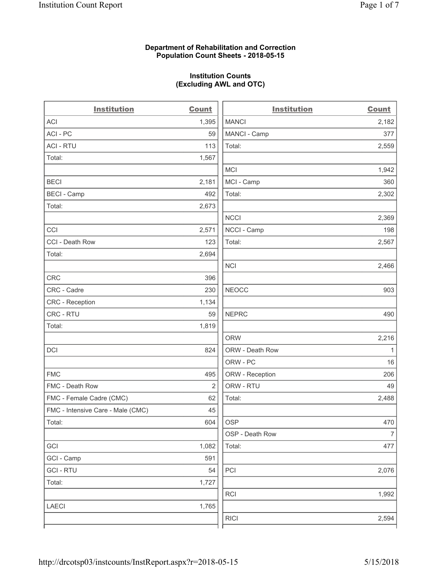### Department of Rehabilitation and Correction Population Count Sheets - 2018-05-15

# Institution Counts (Excluding AWL and OTC)

 $\overline{a}$ 

| <b>Institution</b>                | <b>Count</b> | <b>Institution</b> | <b>Count</b>             |
|-----------------------------------|--------------|--------------------|--------------------------|
| ACI                               | 1,395        | <b>MANCI</b>       | 2,182                    |
| ACI-PC                            | 59           | MANCI - Camp       | 377                      |
| <b>ACI - RTU</b>                  | 113          | Total:             | 2,559                    |
| Total:                            | 1,567        |                    |                          |
|                                   |              | MCI                | 1,942                    |
| <b>BECI</b>                       | 2,181        | MCI - Camp         | 360                      |
| <b>BECI - Camp</b>                | 492          | Total:             | 2,302                    |
| Total:                            | 2,673        |                    |                          |
|                                   |              | <b>NCCI</b>        | 2,369                    |
| CCI                               | 2,571        | NCCI - Camp        | 198                      |
| CCI - Death Row                   | 123          | Total:             | 2,567                    |
| Total:                            | 2,694        |                    |                          |
|                                   |              | <b>NCI</b>         | 2,466                    |
| <b>CRC</b>                        | 396          |                    |                          |
| CRC - Cadre                       | 230          | <b>NEOCC</b>       | 903                      |
| <b>CRC - Reception</b>            | 1,134        |                    |                          |
| CRC - RTU                         | 59           | <b>NEPRC</b>       | 490                      |
| Total:                            | 1,819        |                    |                          |
|                                   |              | <b>ORW</b>         | 2,216                    |
| DCI                               | 824          | ORW - Death Row    | 1                        |
|                                   |              | ORW - PC           | 16                       |
| <b>FMC</b>                        | 495          | ORW - Reception    | 206                      |
| FMC - Death Row                   | 2            | ORW - RTU          | 49                       |
| FMC - Female Cadre (CMC)          | 62           | Total:             | 2,488                    |
| FMC - Intensive Care - Male (CMC) | 45           |                    |                          |
| Total:                            | 604          | <b>OSP</b>         | 470                      |
|                                   |              | OSP - Death Row    | $\overline{\mathcal{I}}$ |
| GCI                               | 1,082        | Total:             | 477                      |
| GCI - Camp                        | 591          |                    |                          |
| <b>GCI-RTU</b>                    | 54           | PCI                | 2,076                    |
| Total:                            | 1,727        |                    |                          |
|                                   |              | <b>RCI</b>         | 1,992                    |
| <b>LAECI</b>                      | 1,765        |                    |                          |
|                                   |              | <b>RICI</b>        | 2,594                    |
|                                   |              |                    |                          |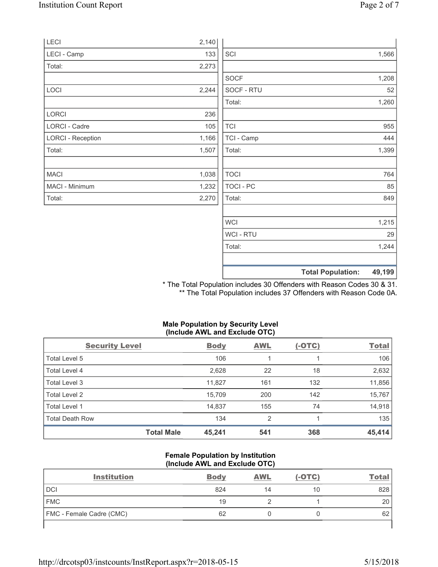| LECI                     | 2,140 |             |                                    |
|--------------------------|-------|-------------|------------------------------------|
| LECI - Camp              | 133   | SCI         | 1,566                              |
| Total:                   | 2,273 |             |                                    |
|                          |       | SOCF        | 1,208                              |
| LOCI                     | 2,244 | SOCF - RTU  | 52                                 |
|                          |       | Total:      | 1,260                              |
| LORCI                    | 236   |             |                                    |
| <b>LORCI - Cadre</b>     | 105   | <b>TCI</b>  | 955                                |
| <b>LORCI - Reception</b> | 1,166 | TCI - Camp  | 444                                |
| Total:                   | 1,507 | Total:      | 1,399                              |
|                          |       |             |                                    |
| <b>MACI</b>              | 1,038 | <b>TOCI</b> | 764                                |
| MACI - Minimum           | 1,232 | TOCI - PC   | 85                                 |
| Total:                   | 2,270 | Total:      | 849                                |
|                          |       |             |                                    |
|                          |       | <b>WCI</b>  | 1,215                              |
|                          |       | WCI - RTU   | 29                                 |
|                          |       | Total:      | 1,244                              |
|                          |       |             | 49,199<br><b>Total Population:</b> |

\* The Total Population includes 30 Offenders with Reason Codes 30 & 31. \*\* The Total Population includes 37 Offenders with Reason Code 0A.

# Male Population by Security Level (Include AWL and Exclude OTC)

| <b>Security Level</b>  |                   | <b>Body</b> | <b>AWL</b> | $(-OTC)$ | <b>Total</b> |
|------------------------|-------------------|-------------|------------|----------|--------------|
| Total Level 5          |                   | 106         |            |          | 106          |
| Total Level 4          |                   | 2,628       | 22         | 18       | 2,632        |
| Total Level 3          |                   | 11,827      | 161        | 132      | 11,856       |
| Total Level 2          |                   | 15,709      | 200        | 142      | 15,767       |
| Total Level 1          |                   | 14,837      | 155        | 74       | 14,918       |
| <b>Total Death Row</b> |                   | 134         | 2          |          | 135          |
|                        | <b>Total Male</b> | 45,241      | 541        | 368      | 45,414       |

### Female Population by Institution (Include AWL and Exclude OTC)

| <b>Institution</b>              | <b>Body</b> | <b>AWL</b> | (-OTC) | <u>Total</u> |
|---------------------------------|-------------|------------|--------|--------------|
| DCI                             | 824         | 14         | 10     | 828          |
| <b>FMC</b>                      | 19          |            |        | 20           |
| <b>FMC - Female Cadre (CMC)</b> | 62          |            |        | 62           |
|                                 |             |            |        |              |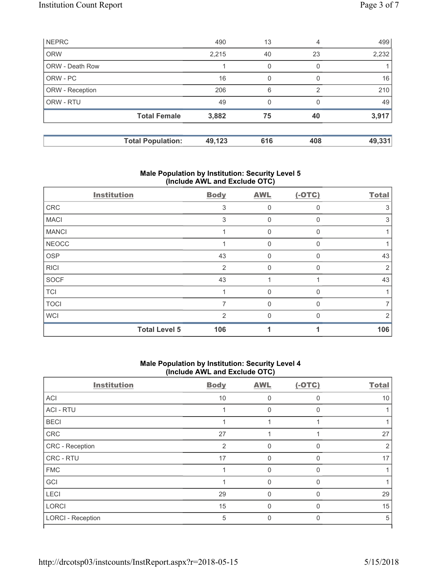| <b>NEPRC</b>    |                          | 490    | 13       | 4              | 499    |
|-----------------|--------------------------|--------|----------|----------------|--------|
| <b>ORW</b>      |                          | 2,215  | 40       | 23             | 2,232  |
| ORW - Death Row |                          |        | 0        | 0              |        |
| ORW - PC        |                          | 16     | $\Omega$ | $\Omega$       | 16     |
| ORW - Reception |                          | 206    | 6        | $\mathfrak{p}$ | 210    |
| ORW - RTU       |                          | 49     | $\Omega$ | $\Omega$       | 49     |
|                 | <b>Total Female</b>      | 3,882  | 75       | 40             | 3,917  |
|                 |                          |        |          |                |        |
|                 | <b>Total Population:</b> | 49,123 | 616      | 408            | 49,331 |

### Male Population by Institution: Security Level 5 (Include AWL and Exclude OTC)

| <b>Institution</b> |                      | <b>Body</b>   | <b>AWL</b> | $(-OTC)$ | <b>Total</b> |
|--------------------|----------------------|---------------|------------|----------|--------------|
| CRC                |                      | 3             | $\Omega$   | $\Omega$ | 3            |
| <b>MACI</b>        |                      | 3             | 0          | $\Omega$ | 3            |
| <b>MANCI</b>       |                      |               | 0          | $\Omega$ |              |
| <b>NEOCC</b>       |                      |               | 0          | $\Omega$ |              |
| OSP                |                      | 43            | 0          | $\Omega$ | 43           |
| <b>RICI</b>        |                      | 2             | 0          | $\Omega$ | 2            |
| <b>SOCF</b>        |                      | 43            |            |          | 43           |
| <b>TCI</b>         |                      |               | 0          | $\Omega$ |              |
| <b>TOCI</b>        |                      | 7             | U          | $\Omega$ |              |
| <b>WCI</b>         |                      | $\mathcal{P}$ | ∩          | ∩        | 2            |
|                    | <b>Total Level 5</b> | 106           |            |          | 106          |

### Male Population by Institution: Security Level 4 (Include AWL and Exclude OTC)

| <b>Institution</b>       | <b>Body</b> | <b>AWL</b>  | $(-OTC)$     | <b>Total</b> |
|--------------------------|-------------|-------------|--------------|--------------|
| ACI                      | 10          | 0           | $\Omega$     | 10           |
| <b>ACI - RTU</b>         |             | 0           | $\Omega$     |              |
| <b>BECI</b>              |             |             |              |              |
| CRC                      | 27          |             |              | 27           |
| CRC - Reception          | 2           | $\Omega$    | 0            | 2            |
| CRC - RTU                | 17          | $\mathbf 0$ | 0            | 17           |
| <b>FMC</b>               | 1           | $\Omega$    | $\Omega$     |              |
| GCI                      |             | $\Omega$    | $\Omega$     |              |
| LECI                     | 29          | $\Omega$    | $\Omega$     | 29           |
| <b>LORCI</b>             | 15          | $\Omega$    | $\Omega$     | 15           |
| <b>LORCI - Reception</b> | 5           | $\Omega$    | $\mathbf{0}$ | 5            |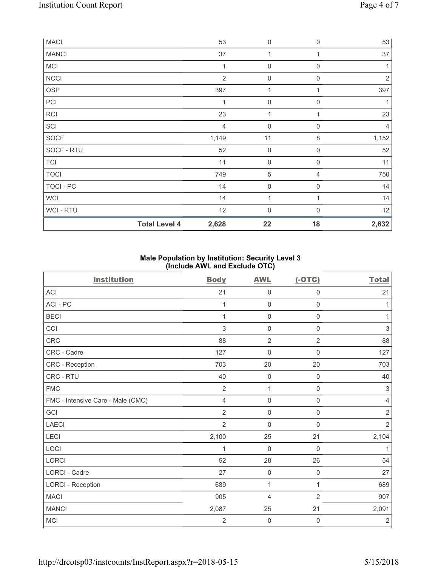|                | <b>Total Level 4</b> | 2,628          | 22                  | 18             | 2,632          |
|----------------|----------------------|----------------|---------------------|----------------|----------------|
| <b>WCI-RTU</b> |                      | 12             | $\mathbf 0$         | $\Omega$       | 12             |
| <b>WCI</b>     |                      | 14             | 1                   | 1              | 14             |
| TOCI - PC      |                      | 14             | $\mathsf{O}\xspace$ | 0              | 14             |
| <b>TOCI</b>    |                      | 749            | $\mathbf 5$         | 4              | 750            |
| <b>TCI</b>     |                      | 11             | $\mathsf{O}\xspace$ | $\mathbf 0$    | 11             |
| SOCF - RTU     |                      | 52             | $\mathsf{O}\xspace$ | $\mathbf 0$    | 52             |
| <b>SOCF</b>    |                      | 1,149          | 11                  | 8              | 1,152          |
| SCI            |                      | 4              | $\mathsf{O}\xspace$ | $\mathbf 0$    | $\overline{4}$ |
| <b>RCI</b>     |                      | 23             | 1                   |                | 23             |
| PCI            |                      | 1              | $\mathbf 0$         | $\Omega$       |                |
| <b>OSP</b>     |                      | 397            | 1                   | 1              | 397            |
| <b>NCCI</b>    |                      | $\overline{2}$ | $\boldsymbol{0}$    | $\mathbf 0$    | $\overline{2}$ |
| MCI            |                      | 1              | $\mathsf{O}\xspace$ | 0              |                |
| <b>MANCI</b>   |                      | 37             | 1                   | 1              | 37             |
| <b>MACI</b>    |                      | 53             | $\boldsymbol{0}$    | $\overline{0}$ | 53             |

# Male Population by Institution: Security Level 3 (Include AWL and Exclude OTC)

| <b>Institution</b>                | <b>Body</b>    | <b>AWL</b>          | $(-OTC)$            | <b>Total</b>   |
|-----------------------------------|----------------|---------------------|---------------------|----------------|
| <b>ACI</b>                        | 21             | $\mathbf 0$         | 0                   | 21             |
| ACI-PC                            | 1              | $\mathsf 0$         | $\mathsf 0$         | 1              |
| <b>BECI</b>                       | 1              | $\mathsf{O}\xspace$ | 0                   | 1              |
| CCI                               | 3              | $\mathbf 0$         | $\mathsf 0$         | 3              |
| CRC                               | 88             | $\overline{2}$      | $\overline{2}$      | 88             |
| CRC - Cadre                       | 127            | $\mathsf{O}\xspace$ | $\mathsf 0$         | 127            |
| CRC - Reception                   | 703            | 20                  | 20                  | 703            |
| CRC - RTU                         | 40             | $\mathbf 0$         | 0                   | 40             |
| <b>FMC</b>                        | $\overline{2}$ | $\mathbf{1}$        | $\mathbf 0$         | 3              |
| FMC - Intensive Care - Male (CMC) | $\overline{4}$ | $\mathbf 0$         | $\mathsf 0$         | $\overline{4}$ |
| GCI                               | $\overline{2}$ | $\mathsf{O}\xspace$ | $\mathsf{O}\xspace$ | $\sqrt{2}$     |
| LAECI                             | $\overline{2}$ | $\mathbf 0$         | 0                   | $\overline{2}$ |
| LECI                              | 2,100          | 25                  | 21                  | 2,104          |
| LOCI                              | 1              | $\mathbf 0$         | $\mathbf 0$         | 1              |
| LORCI                             | 52             | 28                  | 26                  | 54             |
| <b>LORCI - Cadre</b>              | 27             | $\mathsf{O}\xspace$ | 0                   | 27             |
| <b>LORCI - Reception</b>          | 689            | 1                   | 1                   | 689            |
| <b>MACI</b>                       | 905            | $\overline{4}$      | $\overline{2}$      | 907            |
| <b>MANCI</b>                      | 2,087          | 25                  | 21                  | 2,091          |
| MCI                               | $\overline{2}$ | $\mathbf 0$         | 0                   | $\sqrt{2}$     |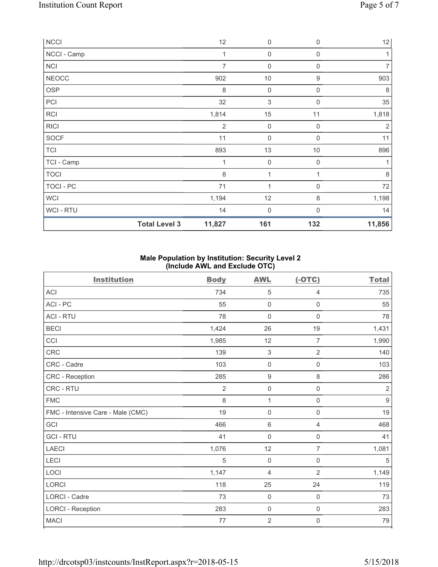| <b>NCCI</b>  |                      | 12             | $\boldsymbol{0}$ | $\mathbf 0$      | 12             |
|--------------|----------------------|----------------|------------------|------------------|----------------|
| NCCI - Camp  |                      | 1              | $\mathbf 0$      | $\boldsymbol{0}$ | 1              |
| NCI          |                      | 7              | $\boldsymbol{0}$ | 0                | 7              |
| <b>NEOCC</b> |                      | 902            | $10$             | 9                | 903            |
| OSP          |                      | $\,8\,$        | $\boldsymbol{0}$ | $\boldsymbol{0}$ | 8              |
| PCI          |                      | 32             | $\sqrt{3}$       | $\mathbf{0}$     | 35             |
| RCI          |                      | 1,814          | 15               | 11               | 1,818          |
| <b>RICI</b>  |                      | $\overline{2}$ | $\boldsymbol{0}$ | 0                | $\overline{2}$ |
| <b>SOCF</b>  |                      | 11             | $\mathbf 0$      | $\mathbf{0}$     | 11             |
| <b>TCI</b>   |                      | 893            | 13               | 10               | 896            |
| TCI - Camp   |                      | 1              | $\boldsymbol{0}$ | $\boldsymbol{0}$ | 1              |
| <b>TOCI</b>  |                      | 8              | $\mathbf{1}$     | 1                | 8              |
| TOCI - PC    |                      | 71             | 1                | 0                | 72             |
| <b>WCI</b>   |                      | 1,194          | 12               | 8                | 1,198          |
| WCI - RTU    |                      | 14             | $\mathbf 0$      | $\mathbf{0}$     | 14             |
|              | <b>Total Level 3</b> | 11,827         | 161              | 132              | 11,856         |

# Male Population by Institution: Security Level 2 (Include AWL and Exclude OTC)

| <b>Institution</b>                | <b>Body</b>    | <b>AWL</b>          | $(-OTC)$            | <b>Total</b>   |
|-----------------------------------|----------------|---------------------|---------------------|----------------|
| <b>ACI</b>                        | 734            | 5                   | 4                   | 735            |
| ACI-PC                            | 55             | $\mathbf 0$         | $\mathsf{O}\xspace$ | 55             |
| <b>ACI - RTU</b>                  | 78             | $\overline{0}$      | 0                   | 78             |
| <b>BECI</b>                       | 1,424          | 26                  | 19                  | 1,431          |
| CCI                               | 1,985          | 12                  | $\overline{7}$      | 1,990          |
| CRC                               | 139            | $\sqrt{3}$          | $\overline{2}$      | 140            |
| CRC - Cadre                       | 103            | $\mathsf{O}\xspace$ | 0                   | 103            |
| CRC - Reception                   | 285            | $\boldsymbol{9}$    | 8                   | 286            |
| CRC - RTU                         | $\overline{2}$ | $\mathbf 0$         | $\mathbf 0$         | $\overline{2}$ |
| <b>FMC</b>                        | 8              | $\mathbf{1}$        | $\mathbf 0$         | $9\,$          |
| FMC - Intensive Care - Male (CMC) | 19             | $\mathsf{O}\xspace$ | $\mathsf{O}\xspace$ | 19             |
| GCI                               | 466            | 6                   | 4                   | 468            |
| <b>GCI-RTU</b>                    | 41             | $\mathbf 0$         | $\mathsf{O}\xspace$ | 41             |
| <b>LAECI</b>                      | 1,076          | 12                  | $\overline{7}$      | 1,081          |
| LECI                              | $\sqrt{5}$     | $\mathbf 0$         | $\mathsf{O}\xspace$ | $\sqrt{5}$     |
| LOCI                              | 1,147          | 4                   | $\overline{2}$      | 1,149          |
| LORCI                             | 118            | 25                  | 24                  | 119            |
| <b>LORCI - Cadre</b>              | 73             | $\mathbf 0$         | $\mathbf 0$         | 73             |
| <b>LORCI - Reception</b>          | 283            | $\mathsf{O}\xspace$ | $\mathsf{O}\xspace$ | 283            |
| <b>MACI</b>                       | 77             | $\sqrt{2}$          | 0                   | 79             |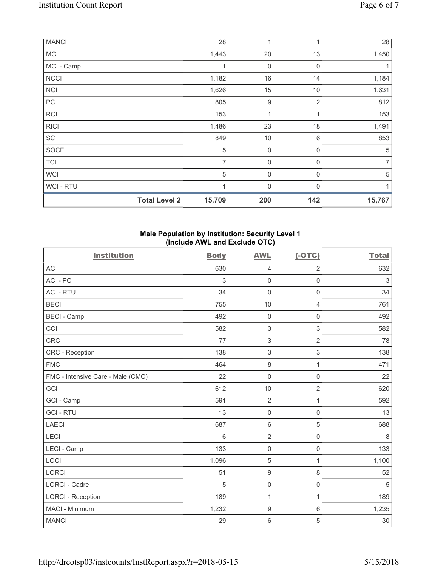| <b>MANCI</b>   |                      | 28             | 1                | 1              | 28             |
|----------------|----------------------|----------------|------------------|----------------|----------------|
| <b>MCI</b>     |                      | 1,443          | 20               | 13             | 1,450          |
| MCI - Camp     |                      | 1              | $\mathbf 0$      | $\mathbf 0$    | 1              |
| <b>NCCI</b>    |                      | 1,182          | 16               | 14             | 1,184          |
| <b>NCI</b>     |                      | 1,626          | 15               | 10             | 1,631          |
| PCI            |                      | 805            | $\boldsymbol{9}$ | $\overline{2}$ | 812            |
| <b>RCI</b>     |                      | 153            | 1                |                | 153            |
| <b>RICI</b>    |                      | 1,486          | 23               | 18             | 1,491          |
| SCI            |                      | 849            | 10               | 6              | 853            |
| <b>SOCF</b>    |                      | 5              | $\mathsf 0$      | 0              | 5              |
| <b>TCI</b>     |                      | $\overline{7}$ | $\mathbf 0$      | $\mathbf 0$    | $\overline{7}$ |
| <b>WCI</b>     |                      | 5              | $\mathbf 0$      | 0              | 5              |
| <b>WCI-RTU</b> |                      | 1              | 0                | $\mathbf{0}$   | $\mathbf{1}$   |
|                | <b>Total Level 2</b> | 15,709         | 200              | 142            | 15,767         |

### Male Population by Institution: Security Level 1 (Include AWL and Exclude OTC)

| <b>Institution</b>                | <b>Body</b> | <b>AWL</b>          | $(-OTC)$            | <b>Total</b> |
|-----------------------------------|-------------|---------------------|---------------------|--------------|
| <b>ACI</b>                        | 630         | 4                   | $\overline{2}$      | 632          |
| ACI - PC                          | 3           | $\mathsf{O}\xspace$ | $\mathsf{O}\xspace$ | $\sqrt{3}$   |
| <b>ACI - RTU</b>                  | 34          | $\mathbf 0$         | $\mathsf 0$         | 34           |
| <b>BECI</b>                       | 755         | 10                  | 4                   | 761          |
| <b>BECI - Camp</b>                | 492         | $\mathsf{O}\xspace$ | $\mathbf 0$         | 492          |
| CCI                               | 582         | $\,$ 3 $\,$         | 3                   | 582          |
| <b>CRC</b>                        | 77          | $\sqrt{3}$          | $\overline{2}$      | 78           |
| CRC - Reception                   | 138         | $\sqrt{3}$          | $\,$ 3 $\,$         | 138          |
| <b>FMC</b>                        | 464         | $\,8\,$             | 1                   | 471          |
| FMC - Intensive Care - Male (CMC) | 22          | $\mathbf 0$         | $\mathbf 0$         | 22           |
| GCI                               | 612         | 10                  | $\overline{2}$      | 620          |
| GCI - Camp                        | 591         | $\overline{2}$      | 1                   | 592          |
| <b>GCI-RTU</b>                    | 13          | $\mathbf 0$         | $\mathbf 0$         | 13           |
| <b>LAECI</b>                      | 687         | $\,6\,$             | $\mathbf 5$         | 688          |
| LECI                              | 6           | $\overline{2}$      | $\mathsf{O}\xspace$ | $\,8\,$      |
| LECI - Camp                       | 133         | $\mathsf{O}\xspace$ | $\mathsf{O}\xspace$ | 133          |
| LOCI                              | 1,096       | $\mathbf 5$         | 1                   | 1,100        |
| <b>LORCI</b>                      | 51          | $\boldsymbol{9}$    | 8                   | 52           |
| <b>LORCI - Cadre</b>              | 5           | $\mathbf 0$         | $\mathsf 0$         | 5            |
| <b>LORCI - Reception</b>          | 189         | $\mathbf{1}$        | 1                   | 189          |
| MACI - Minimum                    | 1,232       | $\boldsymbol{9}$    | $\,6\,$             | 1,235        |
| <b>MANCI</b>                      | 29          | $\,6\,$             | 5                   | 30           |